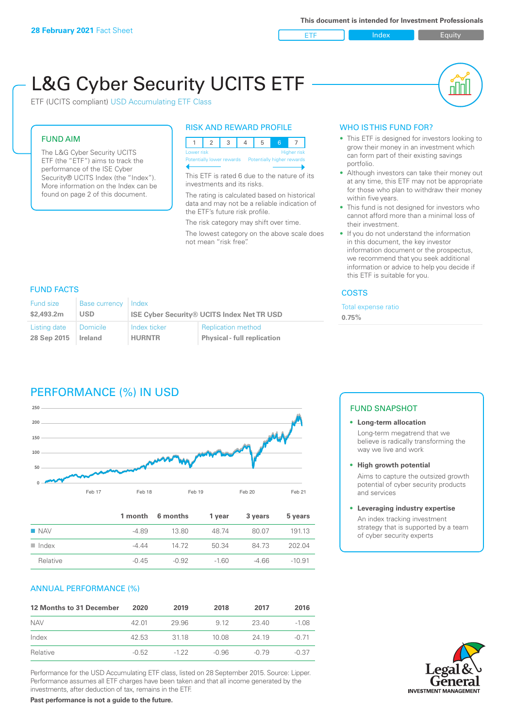ETF Index Buity

nN

# L&G Cyber Security UCITS ETF

ETF (UCITS compliant) USD Accumulating ETF Class

# FUND AIM

The L&G Cyber Security UCITS ETF (the "ETF") aims to track the performance of the ISE Cyber Security® UCITS Index (the "Index"). More information on the Index can be found on page 2 of this document.

### RISK AND REWARD PROFILE



This ETF is rated 6 due to the nature of its investments and its risks.

The rating is calculated based on historical data and may not be a reliable indication of the ETF's future risk profile.

The risk category may shift over time.

The lowest category on the above scale does not mean "risk free".

## WHO IS THIS FUND FOR?

- This ETF is designed for investors looking to grow their money in an investment which can form part of their existing savings portfolio.
- Although investors can take their money out at any time, this ETF may not be appropriate for those who plan to withdraw their money within five years.
- This fund is not designed for investors who cannot afford more than a minimal loss of their investment.
- If you do not understand the information in this document, the key investor information document or the prospectus, we recommend that you seek additional information or advice to help you decide if this ETF is suitable for you.

#### **COSTS**

Total expense ratio **0.75%**

### FUND FACTS

| Fund size    | <b>Base currency</b> | Index                                             |                                    |  |
|--------------|----------------------|---------------------------------------------------|------------------------------------|--|
| \$2,493.2m   | USD                  | <b>ISE Cyber Security® UCITS Index Net TR USD</b> |                                    |  |
| Listing date | Domicile             | Index ticker                                      | <b>Replication method</b>          |  |
| 28 Sep 2015  | Ireland              | <b>HURNTR</b>                                     | <b>Physical - full replication</b> |  |

# PERFORMANCE (%) IN USD



|                      |         | 1 month 6 months | 1 year | 3 years | 5 years  |
|----------------------|---------|------------------|--------|---------|----------|
| <b>NAV</b>           | -4.89   | 13.80            | 48.74  | 80.07   | 191 13   |
| $\blacksquare$ Index | -4 44   | 14.72            | 50.34  | 84 73   | 202.04   |
| Relative             | $-0.45$ | $-0.92$          | $-160$ | -4 66   | $-10.91$ |

#### ANNUAL PERFORMANCE (%)

| 12 Months to 31 December | 2020    | 2019   | 2018  | 2017  | 2016    |
|--------------------------|---------|--------|-------|-------|---------|
| <b>NAV</b>               | 42.01   | 29.96  | 9.12  | 23.40 | $-1.08$ |
| Index                    | 42.53   | 3118   | 10.08 | 24.19 | -0.71   |
| Relative                 | $-0.52$ | $-122$ | -0.96 | -0.79 | $-0.37$ |

Performance for the USD Accumulating ETF class, listed on 28 September 2015. Source: Lipper. Performance assumes all ETF charges have been taken and that all income generated by the investments, after deduction of tax, remains in the ETF.

#### FUND SNAPSHOT

#### **• Long-term allocation** Long-term megatrend that we believe is radically transforming the way we live and work

**• High growth potential**

Aims to capture the outsized growth potential of cyber security products and services

#### **• Leveraging industry expertise**

An index tracking investment strategy that is supported by a team of cyber security experts



**Past performance is not a guide to the future.**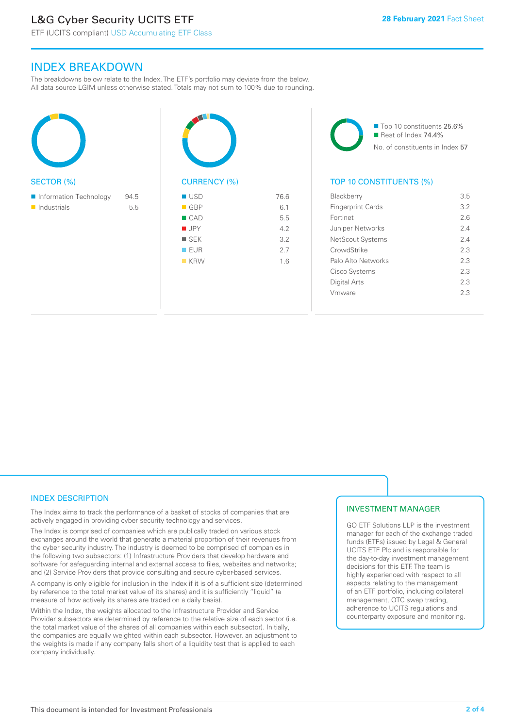# L&G Cyber Security UCITS ETF

INDEX BREAKDOWN

The breakdowns below relate to the Index. The ETF's portfolio may deviate from the below. All data source LGIM unless otherwise stated. Totals may not sum to 100% due to rounding.





■ Top 10 constituents 25.6%  $\blacksquare$  Rest of Index 74.4% No. of constituents in Index 57

# TOP 10 CONSTITUENTS (%)

| <b>Blackberry</b>        | 3.5 |
|--------------------------|-----|
| <b>Fingerprint Cards</b> | 3.2 |
| Fortinet                 | 2.6 |
| Juniper Networks         | 24  |
| NetScout Systems         | 24  |
| CrowdStrike              | 23  |
| Palo Alto Networks       | 2.3 |
| Cisco Systems            | 2.3 |
| Digital Arts             | 2.3 |
| Vmware                   | 23  |
|                          |     |

## INDEX DESCRIPTION

The Index aims to track the performance of a basket of stocks of companies that are actively engaged in providing cyber security technology and services.

The Index is comprised of companies which are publically traded on various stock exchanges around the world that generate a material proportion of their revenues from the cyber security industry. The industry is deemed to be comprised of companies in the following two subsectors: (1) Infrastructure Providers that develop hardware and software for safeguarding internal and external access to files, websites and networks; and (2) Service Providers that provide consulting and secure cyber-based services.

A company is only eligible for inclusion in the Index if it is of a sufficient size (determined by reference to the total market value of its shares) and it is sufficiently "liquid" (a measure of how actively its shares are traded on a daily basis).

Within the Index, the weights allocated to the Infrastructure Provider and Service Provider subsectors are determined by reference to the relative size of each sector (i.e. the total market value of the shares of all companies within each subsector). Initially, the companies are equally weighted within each subsector. However, an adjustment to the weights is made if any company falls short of a liquidity test that is applied to each company individually.

#### INVESTMENT MANAGER

GO ETF Solutions LLP is the investment manager for each of the exchange traded funds (ETFs) issued by Legal & General UCITS ETF Plc and is responsible for the day-to-day investment management decisions for this ETF. The team is highly experienced with respect to all aspects relating to the management of an ETF portfolio, including collateral management, OTC swap trading, adherence to UCITS regulations and counterparty exposure and monitoring.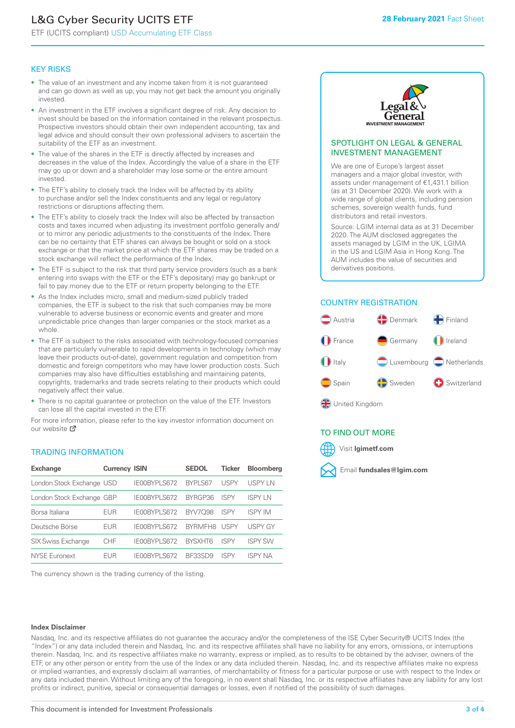# L&G Cyber Security UCITS ETF

ETF (UCITS compliant) USD Accumulating ETF Class

#### KEY RISKS

- The value of an investment and any income taken from it is not guaranteed and can go down as well as up; you may not get back the amount you originally invested.
- An investment in the ETF involves a significant degree of risk. Any decision to invest should be based on the information contained in the relevant prospectus. Prospective investors should obtain their own independent accounting, tax and legal advice and should consult their own professional advisers to ascertain the suitability of the ETF as an investment.
- The value of the shares in the ETF is directly affected by increases and decreases in the value of the Index. Accordingly the value of a share in the ETF may go up or down and a shareholder may lose some or the entire amount invested.
- The ETF's ability to closely track the Index will be affected by its ability to purchase and/or sell the Index constituents and any legal or regulatory restrictions or disruptions affecting them.
- The ETF's ability to closely track the Index will also be affected by transaction costs and taxes incurred when adjusting its investment portfolio generally and/ or to mirror any periodic adjustments to the constituents of the Index. There can be no certainty that ETF shares can always be bought or sold on a stock exchange or that the market price at which the ETF shares may be traded on a stock exchange will reflect the performance of the Index.
- The ETF is subject to the risk that third party service providers (such as a bank entering into swaps with the ETF or the ETF's depositary) may go bankrupt or fail to pay money due to the ETF or return property belonging to the ETF.
- As the Index includes micro, small and medium-sized publicly traded companies, the ETF is subject to the risk that such companies may be more vulnerable to adverse business or economic events and greater and more unpredictable price changes than larger companies or the stock market as a whole.
- The ETF is subject to the risks associated with technology-focused companies that are particularly vulnerable to rapid developments in technology (which may leave their products out-of-date), government regulation and competition from domestic and foreign competitors who may have lower production costs. Such companies may also have difficulties establishing and maintaining patents, copyrights, trademarks and trade secrets relating to their products which could negatively affect their value.
- There is no capital guarantee or protection on the value of the ETF. Investors can lose all the capital invested in the ETF.

For more in[form](https://www.lgimetf.com/)ation, please refer to the key investor information document on our website <sup>7</sup>

#### TRADING INFORMATION

| <b>Exchange</b>           | <b>Currency ISIN</b> |              | <b>SEDOL</b>   | <b>Ticker</b> | <b>Bloomberg</b> |
|---------------------------|----------------------|--------------|----------------|---------------|------------------|
| London Stock Exchange USD |                      | IE00BYPLS672 | <b>BYPLS67</b> | <b>USPY</b>   | USPY IN          |
| London Stock Exchange GBP |                      | IE00BYPLS672 | BYRGP36        | ISPY          | <b>ISPY LN</b>   |
| Borsa Italiana            | <b>EUR</b>           | IE00BYPLS672 | <b>BYV7098</b> | ISPY          | <b>ISPY IM</b>   |
| Deutsche Börse            | <b>EUR</b>           | IE00BYPLS672 | <b>BYRMFH8</b> | <b>USPY</b>   | <b>USPY GY</b>   |
| <b>SIX Swiss Exchange</b> | CHF                  | IE00BYPLS672 | <b>RYSXHT6</b> | ISPY          | <b>ISPY SW</b>   |
| <b>NYSE Euronext</b>      | FUR                  | IF00BYPLS672 | BF33SD9        | <b>ISPY</b>   | <b>ISPY NA</b>   |

The currency shown is the trading currency of the listing.



#### SPOTLIGHT ON LEGAL & GENERAL INVESTMENT MANAGEMENT

We are one of Europe's largest asset managers and a major global investor, with assets under management of €1,431.1 billion (as at 31 December 2020). We work with a wide range of global clients, including pension schemes, sovereign wealth funds, fund distributors and retail investors.

Source: LGIM internal data as at 31 December 2020. The AUM disclosed aggregates the assets managed by LGIM in the UK, LGIMA in the US and LGIM Asia in Hong Kong. The AUM includes the value of securities and derivatives positions.

#### COUNTRY REGISTRATION



**SP** United Kingdom

## TO FIND OUT MORE



#### **Index Disclaimer**

Nasdaq, Inc. and its respective affiliates do not guarantee the accuracy and/or the completeness of the ISE Cyber Security® UCITS Index (the "Index") or any data included therein and Nasdaq, Inc. and its respective affiliates shall have no liability for any errors, omissions, or interruptions therein. Nasdaq, Inc. and its respective affiliates make no warranty, express or implied, as to results to be obtained by the adviser, owners of the ETF, or any other person or entity from the use of the Index or any data included therein. Nasdaq, Inc. and its respective affiliates make no express or implied warranties, and expressly disclaim all warranties, of merchantability or fitness for a particular purpose or use with respect to the Index or any data included therein. Without limiting any of the foregoing, in no event shall Nasdaq, Inc. or its respective affiliates have any liability for any lost profits or indirect, punitive, special or consequential damages or losses, even if notified of the possibility of such damages.